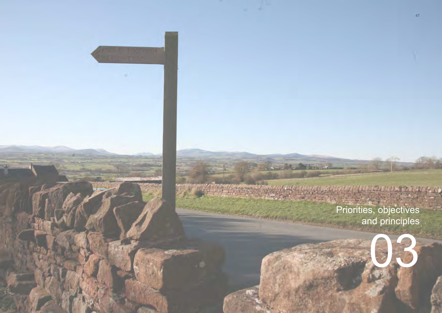Priorities, objectives and principles

**The Accessor** 

03

47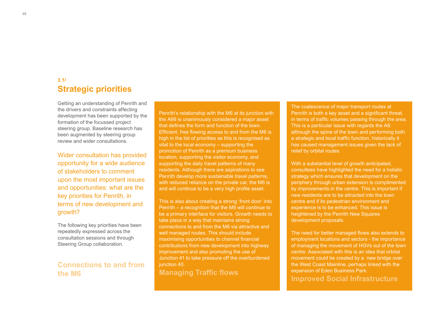## **Strategic priorities 3.1/**

Getting an understanding of Penrith and the drivers and constraints affecting development has been supported by the formation of the focussed project steering group. Baseline research has been augmented by steering group review and wider consultations.

Wider consultation has provided opportunity for a wide audience of stakeholders to comment upon the most important issues and opportunities: what are the key priorities for Penrith, in terms of new development and growth?

The following key priorities have been repeatedly expressed across the consultation sessions and through Steering Group collaboration.

## **Connections to and from the M6**

Penrith's relationship with the M6 at its junction with the A66 is unanimously considered a major asset that defines the form and function of the town. Efficient, free flowing access to and from the M6 is high in the list of priorities as this is recognised as vital to the local economy – supporting the promotion of Penrith as a premium business location, supporting the visitor economy, and supporting the daily travel patterns of many residents. Although there are aspirations to see Penrith develop more sustainable travel patterns, with reduced reliance on the private car, the M6 is and will continue to be a very high profile asset.

This is also about creating a strong 'front door' into Penrith – a recognition that the M6 will continue to be a primary interface for visitors. Growth needs to take place in a way that maintains strong connections to and from the M6 via attractive and well managed routes. This should include maximising opportunities to channel financial contributions from new development into highway improvement and also promoting the use of Junction 41 to take pressure off the overburdened junction 40.

**Managing Traffic flows** 

The coalescence of major transport routes at Penrith is both a key asset and a significant threat. in terms of traffic volumes passing through the area. This is a particular issue with regards the A6: although the spine of the town and performing both a strategic and local traffic function, historically it has caused management issues given the lack of relief by orbital routes.

With a substantial level of growth anticipated. consultees have highlighted the need for a holistic strategy which ensures that development on the periphery through urban extension is complimented by improvements in the centre. This is important if new residents are to be attracted into the town centre and if its pedestrian environment and experience is to be enhanced. This issue is heightened by the Penrith New Squares development proposals.

The need for better managed flows also extends to employment locations and sectors - the importance of managing the movement of HGVs out of the town centre. Associated with this is an idea that orbital movement could be created by a new bridge over the West Coast Mainline, perhaps linked with the expansion of Eden Business Park. **Improved Social Infrastructure**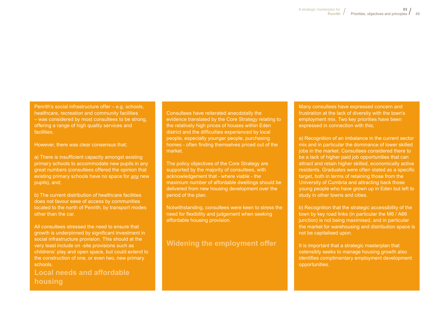Penrith's social infrastructure offer – e.g. schools, healthcare, recreation and community facilities – was considered by most consultees to be strong, offering a range of high quality services and facilities.

However, there was clear consensus that;

a) There is insufficient capacity amongst existing primary schools to accommodate new pupils in any great numbers (consultees offered the opinion that existing primary schools have no space for *any* new pupils), and;

b) The current distribution of healthcare facilities does not favour ease of access by communities located to the north of Penrith, by transport modes other than the car.

All consultees stressed the need to ensure that growth is underpinned by significant investment in social infrastructure provision. This should at the very least include on -site provisions such as childrens' play and open space, but could extend to the construction of one, or even two, new primary schools.

**Local needs and affordable housing**

Consultees have reiterated anecdotally the evidence translated by the Core Strategy relating to the relatively high prices of houses within Eden district and the difficulties experienced by local people, especially younger people, purchasing homes - often finding themselves priced out of the market.

The policy objectives of the Core Strategy are supported by the majority of consultees, with acknowledgement that - where viable - the maximum number of affordable dwellings should be delivered from new housing development over the period of the plan.

Notwithstanding, consultees were keen to stress the need for flexibility and judgement when seeking affordable housing provision.

### **Widening the employment offer**

Many consultees have expressed concern and frustration at the lack of diversity with the town's employment mix. Two key priorities have been expressed in connection with this;

a) Recognition of an imbalance in the current sector mix and in particular the dominance of lower skilled jobs in the market. Consultees considered there to be a lack of higher paid job opportunities that can attract and retain higher skilled, economically active residents. Graduates were often stated as a specific target, both in terms of retaining those from the University of Cumbria and attracting back those young people who have grown up in Eden but left to study in other towns and cities.

b) Recognition that the strategic accessibility of the town by key road links (in particular the M6 / A66 junction) is not being maximised, and in particular the market for warehousing and distribution space is not be capitalised upon.

It is important that a strategic masterplan that ostensibly seeks to manage housing growth also identifies complimentary employment development opportunities.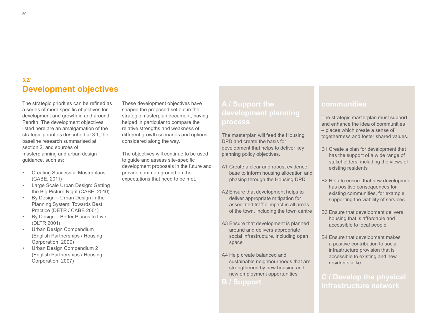## **Development objectives 3.2/**

The strategic priorities can be refined as a series of more specific objectives for development and growth in and around Penrith. The development objectives listed here are an amalgamation of the strategic priorities described at 3.1, the baseline research summarised at section 2, and sources of masterplanning and urban design guidance, such as;

- Creating Successful Masterplans (CABE, 2011)
- Large Scale Urban Design: Getting the Big Picture Right (CABE, 2010)
- By Design Urban Design in the Planning System: Towards Best Practice (DETR / CABE 2001)
- By Design Better Places to Live (DLTR 2001)
- Urban Design Compendium (English Partnerships / Housing Corporation, 2000)
- Urban Design Compendium 2 (English Partnerships / Housing Corporation, 2007)

These development objectives have shaped the proposed set out in the strategic masterplan document, having helped in particular to compare the relative strengths and weakness of different growth scenarios and options considered along the way.

The objectives will continue to be used to guide and assess site-specific development proposals in the future and provide common ground on the expectations that need to be met.

# **process**

The masterplan will feed the Housing DPD and create the basis for development that helps to deliver key planning policy objectives.

- A1 Create a clear and robust evidence base to inform housing allocation and phasing through the Housing DPD
- A2 Ensure that development helps to deliver appropriate mitigation for associated traffic impact in all areas of the town, including the town centre
- A3 Ensure that development is planned around and delivers appropriate social infrastructure, including open space
- A4 Help create balanced and sustainable neighbourhoods that are strengthened by new housing and new employment opportunities

## **B / Support**

## **communities**

The strategic masterplan must support and enhance the idea of communities – places which create a sense of togetherness and foster shared values.

- B1 Create a plan for development that has the support of a wide range of stakeholders, including the views of existing residents
- B2 Help to ensure that new development has positive consequences for existing communities, for example supporting the viability of services
- B3 Ensure that development delivers housing that is affordable and accessible to local people
- B4 Ensure that development makes a positive contribution to social infrastructure provision that is accessible to existing and new residents alike

## **infrastructure network**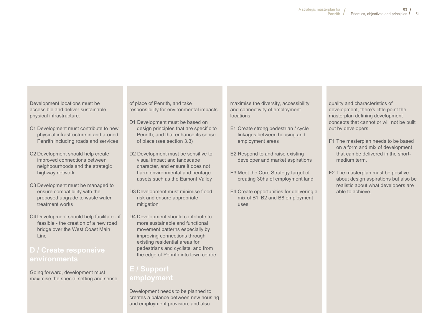Development locations must be accessible and deliver sustainable physical infrastructure.

- C1 Development must contribute to new physical infrastructure in and around Penrith including roads and services
- C2 Development should help create improved connections between neighbourhoods and the strategic highway network
- C3 Development must be managed to ensure compatibility with the proposed upgrade to waste water treatment works
- C4 Development should help facilitate if feasible - the creation of a new road bridge over the West Coast Main Line

## **environments**

Going forward, development must maximise the special setting and sense of place of Penrith, and take responsibility for environmental impacts.

- D1 Development must be based on design principles that are specific to Penrith, and that enhance its sense of place (see section 3.3)
- D2 Development must be sensitive to visual impact and landscape character, and ensure it does not harm environmental and heritage assets such as the Eamont Valley
- D3 Development must minimise flood risk and ensure appropriate mitigation
- D4 Development should contribute to more sustainable and functional movement patterns especially by improving connections through existing residential areas for pedestrians and cyclists, and from the edge of Penrith into town centre

Development needs to be planned to creates a balance between new housing and employment provision, and also

maximise the diversity, accessibility and connectivity of employment locations.

- E1 Create strong pedestrian / cycle linkages between housing and employment areas
- E2 Respond to and raise existing developer and market aspirations
- E3 Meet the Core Strategy target of creating 30ha of employment land
- E4 Create opportunities for delivering a mix of B1, B2 and B8 employment uses

quality and characteristics of development, there's little point the masterplan defining development concepts that cannot or will not be built out by developers.

- F1 The masterplan needs to be based on a form and mix of development that can be delivered in the shortmedium term.
- F2 The masterplan must be positive about design aspirations but also be realistic about what developers are able to achieve.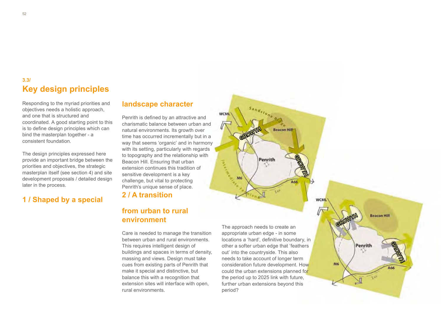## **Key design principles 3.3/**

Responding to the myriad priorities and objectives needs a holistic approach, and one that is structured and coordinated. A good starting point to this is to define design principles which can bind the masterplan together - a consistent foundation.

The design principles expressed here provide an important bridge between the priorities and objectives, the strategic masterplan itself (see section 4) and site development proposals / detailed design later in the process.

## **1 / Shaped by a special**

### **landscape character**

Penrith is defined by an attractive and charismatic balance between urban and natural environments. Its growth over time has occurred incrementally but in a way that seems 'organic' and in harmony with its setting, particularly with regards to topography and the relationship with Beacon Hill. Ensuring that urban extension continues this tradition of sensitive development is a key challenge, but vital to protecting Penrith's unique sense of place.

## **2 / A transition**

## **from urban to rural environment**

Care is needed to manage the transition between urban and rural environments. This requires intelligent design of buildings and spaces in terms of density, massing and views. Design must take cues from existing parts of Penrith that make it special and distinctive, but balance this with a recognition that extension sites will interface with open, rural environments.

The approach needs to create an appropriate urban edge - in some locations a 'hard', definitive boundary, in other a softer urban edge that 'feathers out' into the countryside. This also needs to take account of longer term consideration future development. How could the urban extensions planned for the period up to 2025 link with future, further urban extensions beyond this period?

Penrith

GROWTH

M6

**WCML** 

M6

**WCML** 

GROWTH

GROWTH THE

 $166$ 

**Beacon Hill** 

**Beacon Hill** 

GROWTH THE

A66

Penrith

52